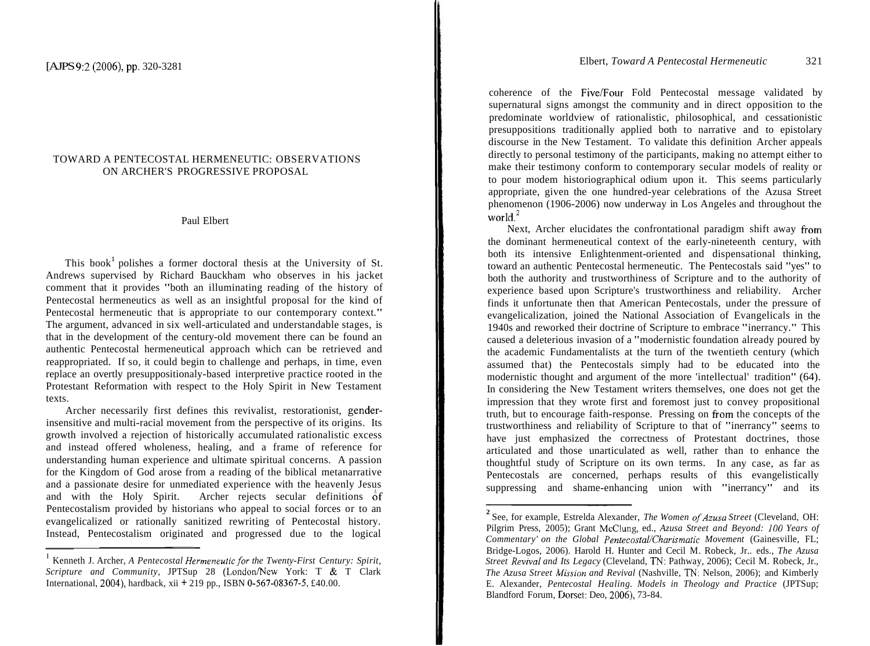## TOWARD A PENTECOSTAL HERMENEUTIC: OBSERVATIONS ON ARCHER'S PROGRESSIVE PROPOSAL

## Paul Elbert

This book<sup>1</sup> polishes a former doctoral thesis at the University of St. Andrews supervised by Richard Bauckham who observes in his jacket comment that it provides "both an illuminating reading of the history of Pentecostal hermeneutics as well as an insightful proposal for the kind of Pentecostal hermeneutic that is appropriate to our contemporary context." The argument, advanced in six well-articulated and understandable stages, is that in the development of the century-old movement there can be found an authentic Pentecostal hermeneutical approach which can be retrieved and reappropriated. If so, it could begin to challenge and perhaps, in time, even replace an overtly presuppositionaly-based interpretive practice rooted in the Protestant Reformation with respect to the Holy Spirit in New Testament texts.

Archer necessarily first defines this revivalist, restorationist, genderinsensitive and multi-racial movement from the perspective of its origins. Its growth involved a rejection of historically accumulated rationalistic excess and instead offered wholeness, healing, and a frame of reference for understanding human experience and ultimate spiritual concerns. A passion for the Kingdom of God arose from a reading of the biblical metanarrative and a passionate desire for unmediated experience with the heavenly Jesus and with the Holy Spirit. Archer rejects secular definitions 6f Pentecostalism provided by historians who appeal to social forces or to an evangelicalized or rationally sanitized rewriting of Pentecostal history. Instead, Pentecostalism originated and progressed due to the logical

coherence of the Five/Four Fold Pentecostal message validated by supernatural signs amongst the community and in direct opposition to the predominate worldview of rationalistic, philosophical, and cessationistic presuppositions traditionally applied both to narrative and to epistolary discourse in the New Testament. To validate this definition Archer appeals directly to personal testimony of the participants, making no attempt either to make their testimony conform to contemporary secular models of reality or to pour modem historiographical odium upon it. This seems particularly appropriate, given the one hundred-year celebrations of the Azusa Street phenomenon (1906-2006) now underway in Los Angeles and throughout the world. $2$ 

Next, Archer elucidates the confrontational paradigm shift away from the dominant hermeneutical context of the early-nineteenth century, with both its intensive Enlightenment-oriented and dispensational thinking, toward an authentic Pentecostal hermeneutic. The Pentecostals said "yes" to both the authority and trustworthiness of Scripture and to the authority of experience based upon Scripture's trustworthiness and reliability. Archer finds it unfortunate then that American Pentecostals, under the pressure of evangelicalization, joined the National Association of Evangelicals in the 1940s and reworked their doctrine of Scripture to embrace "inerrancy." This caused a deleterious invasion of a "modernistic foundation already poured by the academic Fundamentalists at the turn of the twentieth century (which assumed that) the Pentecostals simply had to be educated into the modernistic thought and argument of the more 'intellectual' tradition" (64). In considering the New Testament writers themselves, one does not get the impression that they wrote first and foremost just to convey propositional truth, but to encourage faith-response. Pressing on fiom the concepts of the trustworthiness and reliability of Scripture to that of "inerrancy" seerns to have just emphasized the correctness of Protestant doctrines, those articulated and those unarticulated as well, rather than to enhance the thoughtful study of Scripture on its own terms. In any case, as far as Pentecostals are concerned, perhaps results of this evangelistically suppressing and shame-enhancing union with "inerrancy" and its

<sup>&</sup>lt;sup>I</sup> Kenneth J. Archer, *A Pentecostal Hermeneutic for the Twenty-First Century: Spirit, Scripture and Community, JPTSup 28 (London/New York: T & T Clark* International, 2004), hardback, xii  $\pm$  219 pp., ISBN 0-567-08367-5, £40.00.

<sup>&</sup>lt;sup>2</sup> See, for example, Estrelda Alexander, *The Women of Azusa Street* (Cleveland, OH: Pilgrim Press, 2005); Grant McClung, ed., *Azusa Street and Beyond:* 100 *Years of Commentary' on the Global Pentecostal/Charismatic Movement (Gainesville, FL;* Bridge-Logos, 2006). Harold H. Hunter and Cecil M. Robeck, Jr.. eds., *The Azusa Street Revival and Its Legacy* (Cleveland, TN: Pathway, 2006); Cecil M. Robeck, Jr., *The Azusa Street hfissron and Revival* (Nashville, TN. Nelson, 2006); and Kimberly E. Alexander, *Pentecostal Healing. Models in Theology and Practice* (JPTSup; Blandford Forum, Dorsel: Deo, 2006), 73-84.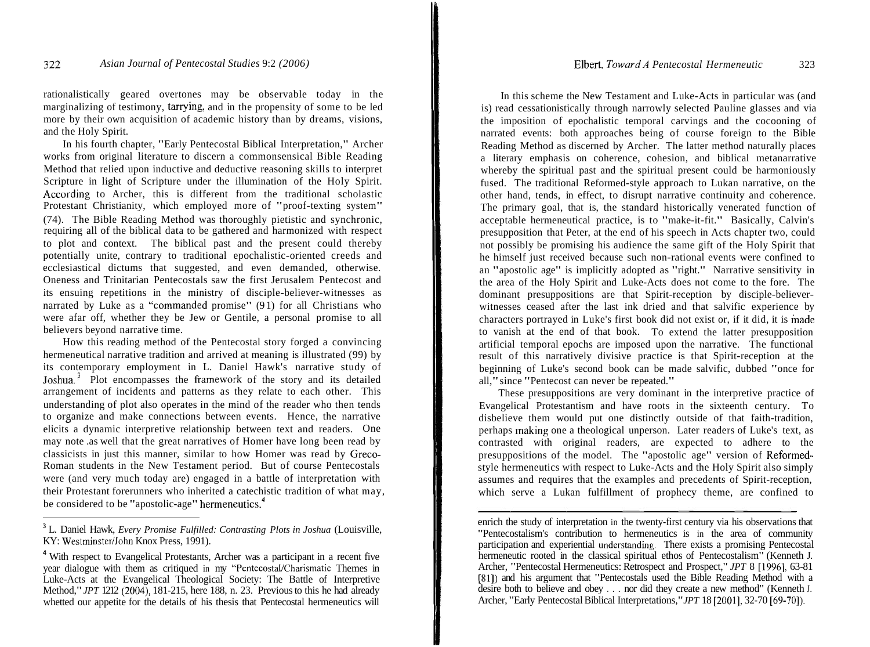rationalistically geared overtones may be observable today in the marginalizing of testimony, tarrying, and in the propensity of some to be led more by their own acquisition of academic history than by dreams, visions, and the Holy Spirit.

In his fourth chapter, "Early Pentecostal Biblical Interpretation," Archer works from original literature to discern a commonsensical Bible Reading Method that relied upon inductive and deductive reasoning skills to interpret Scripture in light of Scripture under the illumination of the Holy Spirit. According to Archer, this is different from the traditional scholastic Protestant Christianity, which employed more of "proof-texting system" (74). The Bible Reading Method was thoroughly pietistic and synchronic, requiring all of the biblical data to be gathered and harmonized with respect to plot and context. The biblical past and the present could thereby potentially unite, contrary to traditional epochalistic-oriented creeds and ecclesiastical dictums that suggested, and even demanded, otherwise. Oneness and Trinitarian Pentecostals saw the first Jerusalem Pentecost and its ensuing repetitions in the ministry of disciple-believer-witnesses as narrated by Luke as a "commanded promise" (9 1) for all Christians who were afar off, whether they be Jew or Gentile, a personal promise to all believers beyond narrative time.

How this reading method of the Pentecostal story forged a convincing hermeneutical narrative tradition and arrived at meaning is illustrated (99) by its contemporary employment in L. Daniel Hawk's narrative study of Joshua.<sup>3</sup> Plot encompasses the framework of the story and its detailed arrangement of incidents and patterns as they relate to each other. This understanding of plot also operates in the mind of the reader who then tends to organize and make connections between events. Hence, the narrative elicits a dynamic interpretive relationship between text and readers. One may note .as well that the great narratives of Homer have long been read by classicists in just this manner, similar to how Homer was read by Greco-Roman students in the New Testament period. But of course Pentecostals were (and very much today are) engaged in a battle of interpretation with their Protestant forerunners who inherited a catechistic tradition of what may, be considered to be "apostolic-age" hermeneutics. $<sup>4</sup>$ </sup>

In this scheme the New Testament and Luke-Acts in particular was (and is) read cessationistically through narrowly selected Pauline glasses and via the imposition of epochalistic temporal carvings and the cocooning of narrated events: both approaches being of course foreign to the Bible Reading Method as discerned by Archer. The latter method naturally places a literary emphasis on coherence, cohesion, and biblical metanarrative whereby the spiritual past and the spiritual present could be harmoniously fused. The traditional Reformed-style approach to Lukan narrative, on the other hand, tends, in effect, to disrupt narrative continuity and coherence. The primary goal, that is, the standard historically venerated function of acceptable hermeneutical practice, is to "make-it-fit." Basically, Calvin's presupposition that Peter, at the end of his speech in Acts chapter two, could not possibly be promising his audience the same gift of the Holy Spirit that he himself just received because such non-rational events were confined to an "apostolic age" is implicitly adopted as "right." Narrative sensitivity in the area of the Holy Spirit and Luke-Acts does not come to the fore. The dominant presuppositions are that Spirit-reception by disciple-believerwitnesses ceased after the last ink dried and that salvific experience by characters portrayed in Luke's first book did not exist or, if it did, it is made to vanish at the end of that book. To extend the latter presupposition artificial temporal epochs are imposed upon the narrative. The functional result of this narratively divisive practice is that Spirit-reception at the beginning of Luke's second book can be made salvific, dubbed "once for all," since "Pentecost can never be repeated."

These presuppositions are very dominant in the interpretive practice of Evangelical Protestantism and have roots in the sixteenth century. To disbelieve them would put one distinctly outside of that faith-tradition, perhaps making one a theological unperson. Later readers of Luke's text, as contrasted with original readers, are expected to adhere to the presuppositions of the model. The "apostolic age" version of Reformedstyle hermeneutics with respect to Luke-Acts and the Holy Spirit also simply assumes and requires that the examples and precedents of Spirit-reception, which serve a Lukan fulfillment of prophecy theme, are confined to mes and requires<br>the serve a Lukar<br>

**<sup>3</sup>**L. Daniel Hawk, *Every Promise Fulfilled: Contrasting Plots in Joshua* (Louisville, KY: Westminster/John Knox Press, 1991).

**<sup>4</sup>**With respect to Evangelical Protestants, Archer was a participant in a recent five year dialogue with them as critiqued in my "Pentecostal/Charismatic Themes in Luke-Acts at the Evangelical Theological Society: The Battle of Interpretive Method," *JPT* 1212 (2004), 181-215, here 188, n. 23. Previous to this he had already whetted our appetite for the details of his thesis that Pentecostal hermeneutics will

enrich the study of interpretation in the twenty-first century via his observations that "Pentecostalism's contribution to hermeneutics is in the area of community participation and experiential understanding. There exists a promising Pentecostal hermeneutic rooted in the classical spiritual ethos of Pentecostalism" (Kenneth J. Archer, "Pentecostal Hermeneutics: Retrospect and Prospect," *JPT* 8 [1996]. 63-81 [81]) and his argument that "Pentecostals used the Bible Reading Method with a desire both to believe and obey . . . nor did they create a new method" (Kenneth J. Archer, "Early Pentecostal Biblical Interpretations," *JPT* 18 [2001], 32-70 [69-701).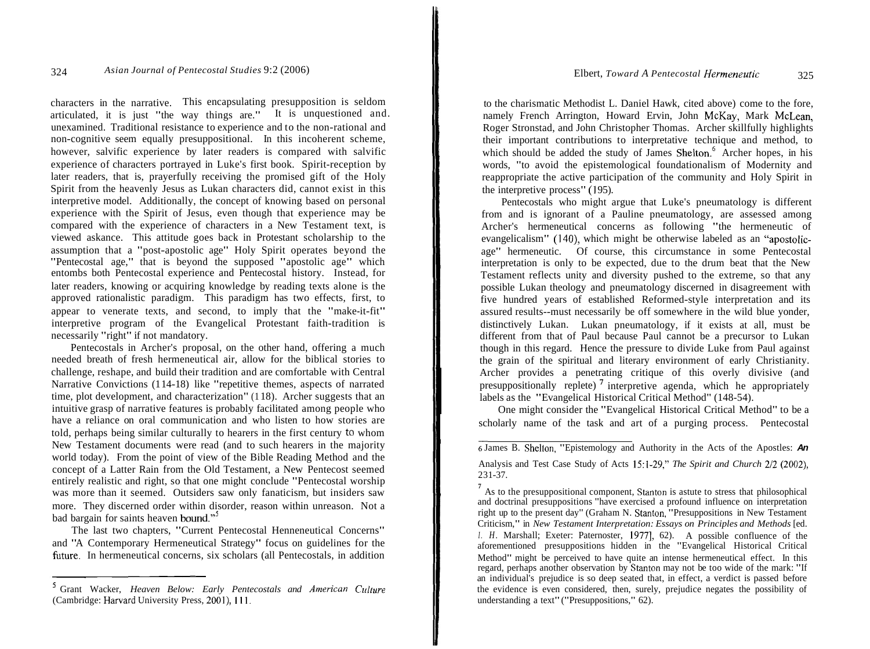characters in the narrative. This encapsulating presupposition is seldom articulated, it is just "the way things are." It is unquestioned and. unexamined. Traditional resistance to experience and to the non-rational and non-cognitive seem equally presuppositional. In this incoherent scheme, however, salvific experience by later readers is compared with salvific experience of characters portrayed in Luke's first book. Spirit-reception by later readers, that is, prayerfully receiving the promised gift of the Holy Spirit from the heavenly Jesus as Lukan characters did, cannot exist in this interpretive model. Additionally, the concept of knowing based on personal experience with the Spirit of Jesus, even though that experience may be compared with the experience of characters in a New Testament text, is viewed askance. This attitude goes back in Protestant scholarship to the assumption that a "post-apostolic age" Holy Spirit operates beyond the "Pentecostal age," that is beyond the supposed "apostolic age" which entombs both Pentecostal experience and Pentecostal history. Instead, for later readers, knowing or acquiring knowledge by reading texts alone is the approved rationalistic paradigm. This paradigm has two effects, first, to appear to venerate texts, and second, to imply that the "make-it-fit" interpretive program of the Evangelical Protestant faith-tradition is necessarily "right" if not mandatory.

Pentecostals in Archer's proposal, on the other hand, offering a much needed breath of fresh hermeneutical air, allow for the biblical stories to challenge, reshape, and build their tradition and are comfortable with Central Narrative Convictions (1 14-18) like "repetitive themes, aspects of narrated time, plot development, and characterization" (1 18). Archer suggests that an intuitive grasp of narrative features is probably facilitated among people who have a reliance on oral communication and who listen to how stories are told, perhaps being similar culturally to hearers in the first century to whom New Testament documents were read (and to such hearers in the majority world today). From the point of view of the Bible Reading Method and the concept of a Latter Rain from the Old Testament, a New Pentecost seemed entirely realistic and right, so that one might conclude "Pentecostal worship was more than it seemed. Outsiders saw only fanaticism, but insiders saw more. They discerned order within disorder, reason within unreason. Not a bad bargain for saints heaven bound."<sup>5</sup>

The last two chapters, "Current Pentecostal Henneneutical Concerns" and "A Contemporary Hermeneutical Strategy" focus on guidelines for the future. In hermeneutical concerns, six scholars (all Pentecostals, in addition

to the charismatic Methodist L. Daniel Hawk, cited above) come to the fore, namely French Arrington, Howard Ervin, John McKay, Mark McLean, Roger Stronstad, and John Christopher Thomas. Archer skillfully highlights their important contributions to interpretative technique and method, to which should be added the study of James Shelton. $6$  Archer hopes, in his words, "to avoid the epistemological foundationalism of Modernity and reappropriate the active participation of the community and Holy Spirit in the interpretive process" (195).

Pentecostals who might argue that Luke's pneumatology is different from and is ignorant of a Pauline pneumatology, are assessed among Archer's hermeneutical concerns as following "the hermeneutic of evangelicalism" (140), which might be otherwise labeled as an "apostolicage" hermeneutic. Of course, this circumstance in some Pentecostal interpretation is only to be expected, due to the drum beat that the New Testament reflects unity and diversity pushed to the extreme, so that any possible Lukan theology and pneumatology discerned in disagreement with five hundred years of established Reformed-style interpretation and its assured results--must necessarily be off somewhere in the wild blue yonder, distinctively Lukan. Lukan pneumatology, if it exists at all, must be different from that of Paul because Paul cannot be a precursor to Lukan though in this regard. Hence the pressure to divide Luke from Paul against the grain of the spiritual and literary environment of early Christianity. Archer provides a penetrating critique of this overly divisive (and presuppositionally replete)<sup> $7$ </sup> interpretive agenda, which he appropriately labels as the "Evangelical Historical Critical Method" (148-54).

One might consider the "Evangelical Historical Critical Method" to be a scholarly name of the task and art of a purging process. Pentecostal

<sup>&</sup>lt;sup>5</sup> Grant Wacker, *Heaven Below: Early Pentecostals and American Culture* (Cambridge: Harvard University Press, 2001), Ill.

*<sup>6</sup>*James B. Shelton, "Epistemology and Authority in the Acts of the Apostles: **An**  Analysis and Test Case Study of Acts 15:l-29," *The Spirit and Church* 212 (2002), 23 1-37.

<sup>&</sup>lt;sup>7</sup> As to the presuppositional component, Stanton is astute to stress that philosophical and doctrinal presuppositions "have exercised a profound influence on interpretation right up to the present day" (Graham N. Stanton, "Presuppositions in New Testament Criticism," in *New Testament Interpretation: Essays on Principles and Methods* [ed. *I. H.* Marshall; Exeter: Paternoster, 1977], 62). A possible confluence of the aforementioned presuppositions hidden in the "Evangelical Historical Critical Method" might be perceived to have quite an intense hermeneutical effect. In this regard, perhaps another observation by Stanton may not be too wide of the mark: "If an individual's prejudice is so deep seated that, in effect, a verdict is passed before the evidence is even considered, then, surely, prejudice negates the possibility of understanding a text" ("Presuppositions," 62).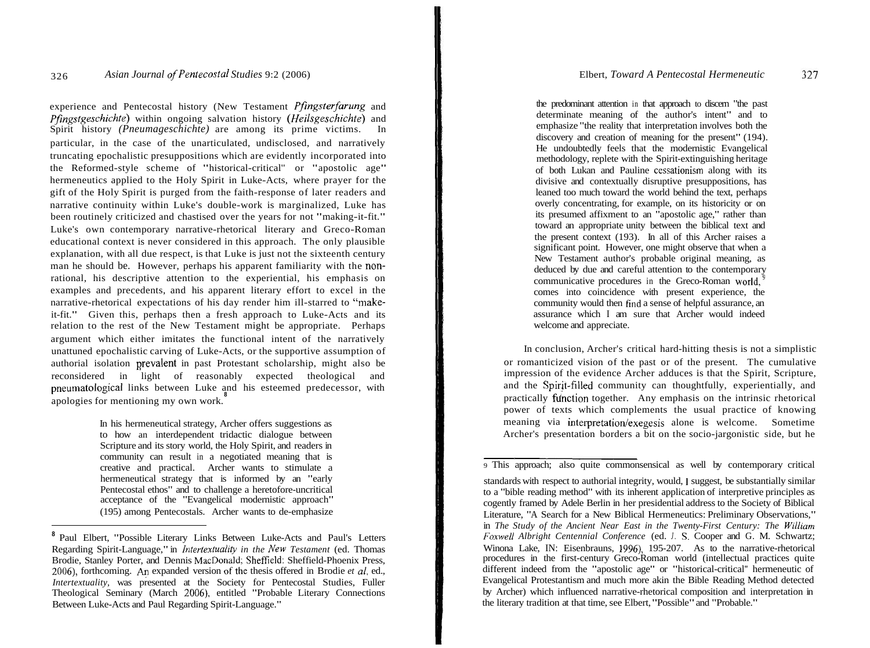experience and Pentecostal history (New Testament *Pfingsterfarung* and *Pfingstgeschichte)* within ongoing salvation history *(Heilsgeschichte)* and Spirit history *(Pneumageschichte)* are among its prime victims. In particular, in the case of the unarticulated, undisclosed, and narratively truncating epochalistic presuppositions which are evidently incorporated into the Reformed-style scheme of "historical-critical'' or "apostolic age" hermeneutics applied to the Holy Spirit in Luke-Acts, where prayer for the gift of the Holy Spirit is purged from the faith-response of later readers and narrative continuity within Luke's double-work is marginalized, Luke has been routinely criticized and chastised over the years for not "making-it-fit." Luke's own contemporary narrative-rhetorical literary and Greco-Roman educational context is never considered in this approach. The only plausible explanation, with all due respect, is that Luke is just not the sixteenth century man he should be. However, perhaps his apparent familiarity with the nonrational, his descriptive attention to the experiential, his emphasis on examples and precedents, and his apparent literary effort to excel in the narrative-rhetorical expectations of his day render him ill-starred to "makeit-fit." Given this, perhaps then a fresh approach to Luke-Acts and its relation to the rest of the New Testament might be appropriate. Perhaps argument which either imitates the functional intent of the narratively unattuned epochalistic carving of Luke-Acts, or the supportive assumption of authorial isolation prevalent in past Protestant scholarship, might also be reconsidered in light of reasonably expected theological and pneumatological links between Luke and his esteemed predecessor, with apologies for mentioning my own work.

> In his hermeneutical strategy, Archer offers suggestions as to how an interdependent tridactic dialogue between Scripture and its story world, the Holy Spirit, and readers in community can result in a negotiated meaning that is creative and practical. Archer wants to stimulate a hermeneutical strategy that is informed by an "early Pentecostal ethos" and to challenge a heretofore-uncritical acceptance of the "Evangelical modernistic approach" (195) among Pentecostals. Archer wants to de-emphasize

the predominant attention in that approach to discern "the past determinate meaning of the author's intent" and to emphasize "the reality that interpretation involves both the discovery and creation of meaning for the present" (194). He undoubtedly feels that the modernistic Evangelical methodology, replete with the Spirit-extinguishing heritage of both Lukan and Pauline cessationism along with its divisive and contextually disruptive presuppositions, has leaned too much toward the world behind the text, perhaps overly concentrating, for example, on its historicity or on its presumed affixment to an "apostolic age," rather than toward an appropriate unity between the biblical text and the present context (193). In all of this Archer raises a significant point. However, one might observe that when a New Testament author's probable original meaning, as deduced by due and careful attention to the contemporary communicative procedures in the Greco-Roman world,<sup>9</sup> comes into coincidence with present experience, the community would then find a sense of helpful assurance, an assurance which I am sure that Archer would indeed welcome and appreciate.

In conclusion, Archer's critical hard-hitting thesis is not a simplistic or romanticized vision of the past or of the present. The cumulative impression of the evidence Archer adduces is that the Spirit, Scripture, and the Spirjt-filled community can thoughtfully, experientially, and practically function together. Any emphasis on the intrinsic rhetorical power of texts which complements the usual practice of knowing meaning via interpretation/exegesis alone is welcome. Sometime Archer's presentation borders a bit on the socio-jargonistic side, but he<br>is approach: also quite commonsensical as well by contemporary critical

<sup>&</sup>lt;sup>8</sup> Paul Elbert, "Possible Literary Links Between Luke-Acts and Paul's Letters Regarding Spirit-Language," in *Intertextuality in the New Testament* (ed. Thomas Brodie, Stanley Porter, and Dennis MacDonald; Sheffield: Sheffield-Phoenix Press, 2006), forthcoming. An expanded version of the thesis offered in Brodie *et al*, ed., *Intertextuality*, was presented at the Society for Pentecostal Studies, Fuller Theological Seminary (March 2006), entitled "Probable Literary Connections Between Luke-Acts and Paul Regarding Spirit-Language."

<sup>9</sup> This approach; also quite commonsensical as well by contemporary critical

standards with respect to authorial integrity, would, 1 suggest, be substantially similar to a "bible reading method" with its inherent application of interpretive principles as cogently framed by Adele Berlin in her presidential address to the Society of Biblical Literature, "A Search for a New Biblical Hermeneutics: Preliminary Observations," in *The Study of the Ancient Near East in the Twenty-First Century: The William Foxwell Albright Centennial Conference* (ed. *J.* S. Cooper and G. M. Schwartz; Winona Lake, IN: Eisenbrauns, 1996), 195-207. As to the narrative-rhetorical procedures in the first-century Greco-Roman world (intellectual practices quite different indeed from the "apostolic age" or "historical-critical'' hermeneutic of Evangelical Protestantism and much more akin the Bible Reading Method detected by Archer) which influenced narrative-rhetorical composition and interpretation in the literary tradition at that time, see Elbert, "Possible" and "Probable."